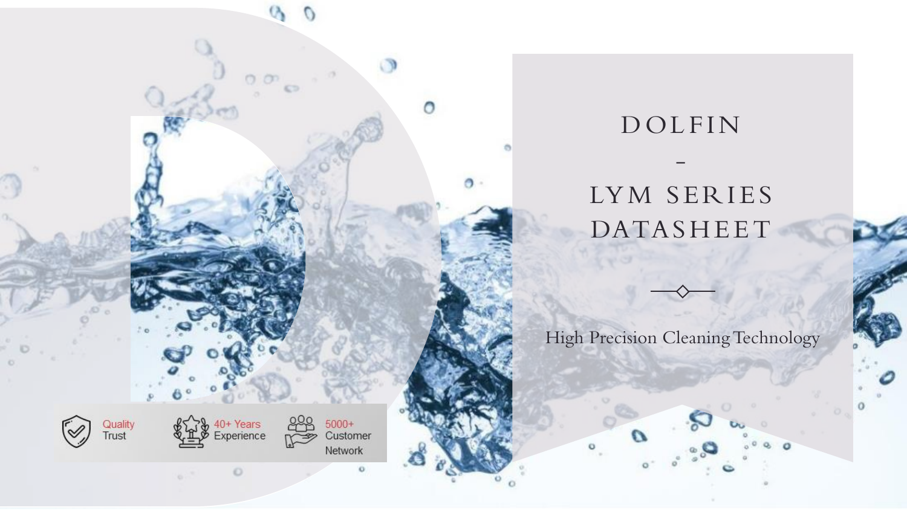

# - LYM SERIES DATASH E E T

DOLFIN

High Precision Cleaning Technology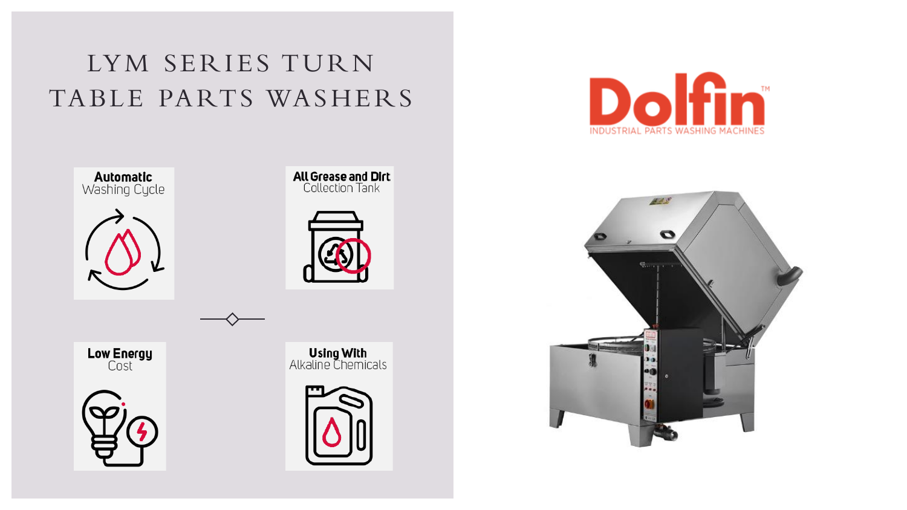# LYM SERIES TURN TABLE PARTS WASHERS







**Low Energy**<br>Cost



**Using With**<br>Alkaline Chemicals





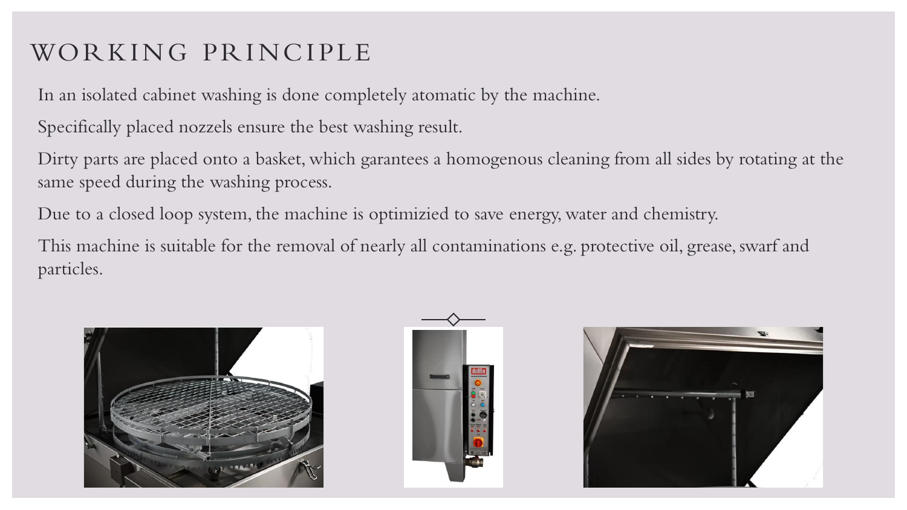## WORKING PRINCIPLE

In an isolated cabinet washing is done completely atomatic by the machine.

Specifically placed nozzels ensure the best washing result.

Dirty parts are placed onto a basket, which garantees a homogenous cleaning from all sides by rotating at the same speed during the washing process.

Due to a closed loop system, the machine is optimizied to save energy, water and chemistry.

This machine is suitable for the removal of nearly all contaminations e.g. protective oil, grease, swarf and particles.





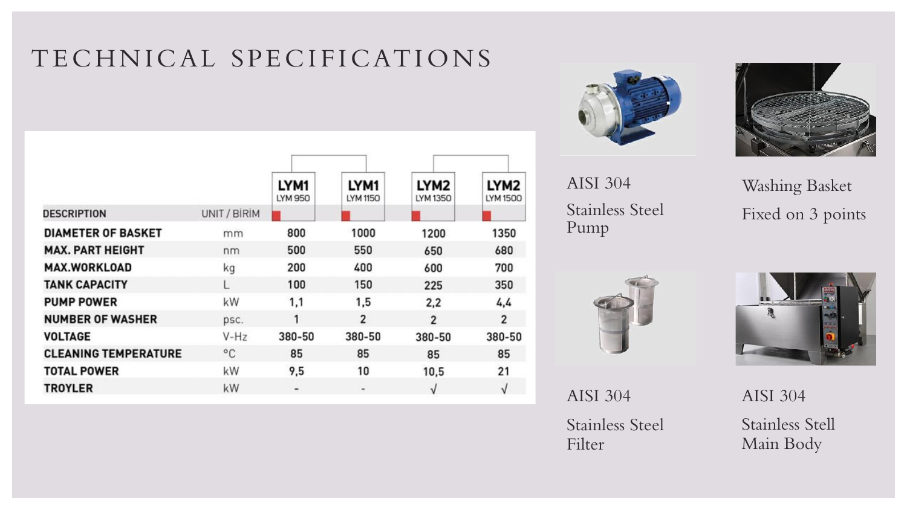## TECHNICAL SPECIFICAT IO NS

|                             |              | LYM1<br>LYM 950 | LYM1<br>LYM 1150             | LYM <sub>2</sub><br>LYM 1350 | LYM <sub>2</sub><br>LYM 1500 |
|-----------------------------|--------------|-----------------|------------------------------|------------------------------|------------------------------|
| <b>DESCRIPTION</b>          | UNIT / BİRİM |                 |                              |                              |                              |
| <b>DIAMETER OF BASKET</b>   | mm           | 800             | 1000                         | 1200                         | 1350                         |
| <b>MAX. PART HEIGHT</b>     | nm           | 500             | 550                          | 650                          | 680                          |
| <b>MAX.WORKLOAD</b>         | kg           | 200             | 400                          | 600                          | 700                          |
| <b>TANK CAPACITY</b>        |              | 100             | 150                          | 225                          | 350                          |
| <b>PUMP POWER</b>           | kW           | 1,1             | 1,5                          | 2,2                          | 4,4                          |
| <b>NUMBER OF WASHER</b>     | psc.         | 1               | 2                            | $\overline{2}$               | $\overline{2}$               |
| <b>VOLTAGE</b>              | $V-Hz$       | 380-50          | 380-50                       | 380-50                       | 380-50                       |
| <b>CLEANING TEMPERATURE</b> | °C           | 85              | 85                           | 85                           | 85                           |
| <b>TOTAL POWER</b>          | kW           | 9,5             | 10                           | 10,5                         | 21                           |
| <b>TROYLER</b>              | kW           |                 | $\qquad \qquad \blacksquare$ | $\sqrt{}$                    | V                            |





AISI 304 Stainless Steel Pump



AISI 304 Stainless Steel Filter

Washing Basket Fixed on 3 points



AISI 304 Stainless Stell Main Body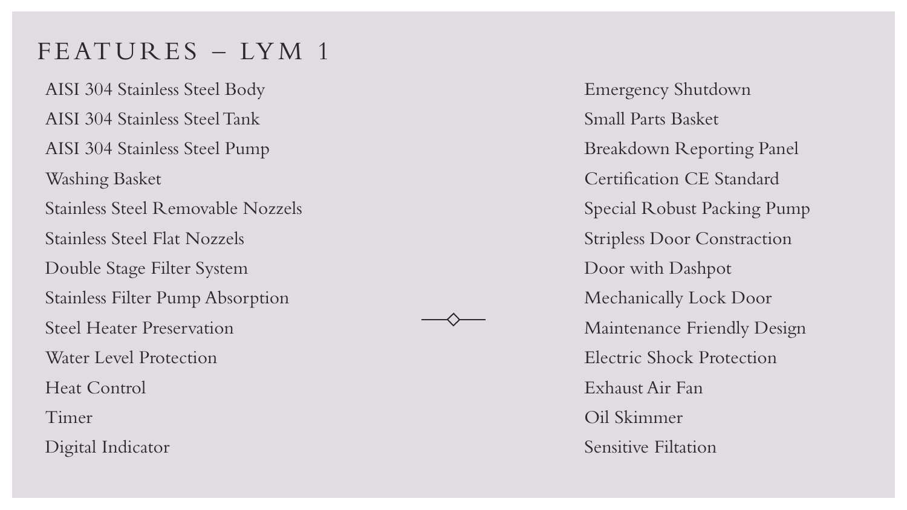### FEATURES - LYM 1

AISI 304 Stainless Steel Body AISI 304 Stainless Steel Tank AISI 304 Stainless Steel Pump Washing Basket Stainless Steel Removable Nozzels Stainless Steel Flat Nozzels Double Stage Filter System Stainless Filter Pump Absorption Steel Heater Preservation Water Level Protection Heat Control Timer Digital Indicator

Emergency Shutdown Small Parts Basket Breakdown Reporting Panel Certification CE Standard Special Robust Packing Pump Stripless Door Constraction Door with Dashpot Mechanically Lock Door Maintenance Friendly Design Electric Shock Protection Exhaust Air Fan Oil Skimmer Sensitive Filtation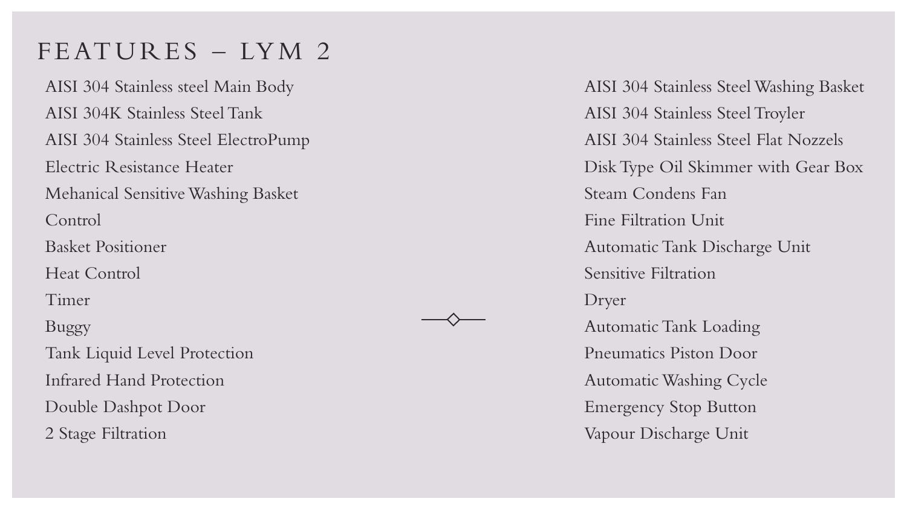### FEATURES - LYM 2

AISI 304 Stainless steel Main Body AISI 304K Stainless Steel Tank AISI 304 Stainless Steel ElectroPump Electric Resistance Heater Mehanical Sensitive Washing Basket Control Basket Positioner Heat Control Timer Buggy Tank Liquid Level Protection Infrared Hand Protection Double Dashpot Door 2 Stage Filtration

AISI 304 Stainless Steel Washing Basket AISI 304 Stainless Steel Troyler AISI 304 Stainless Steel Flat Nozzels DiskType Oil Skimmer with Gear Box Steam Condens Fan Fine Filtration Unit AutomaticTank Discharge Unit Sensitive Filtration Dryer Automatic Tank Loading Pneumatics Piston Door AutomaticWashing Cycle Emergency Stop Button Vapour Discharge Unit